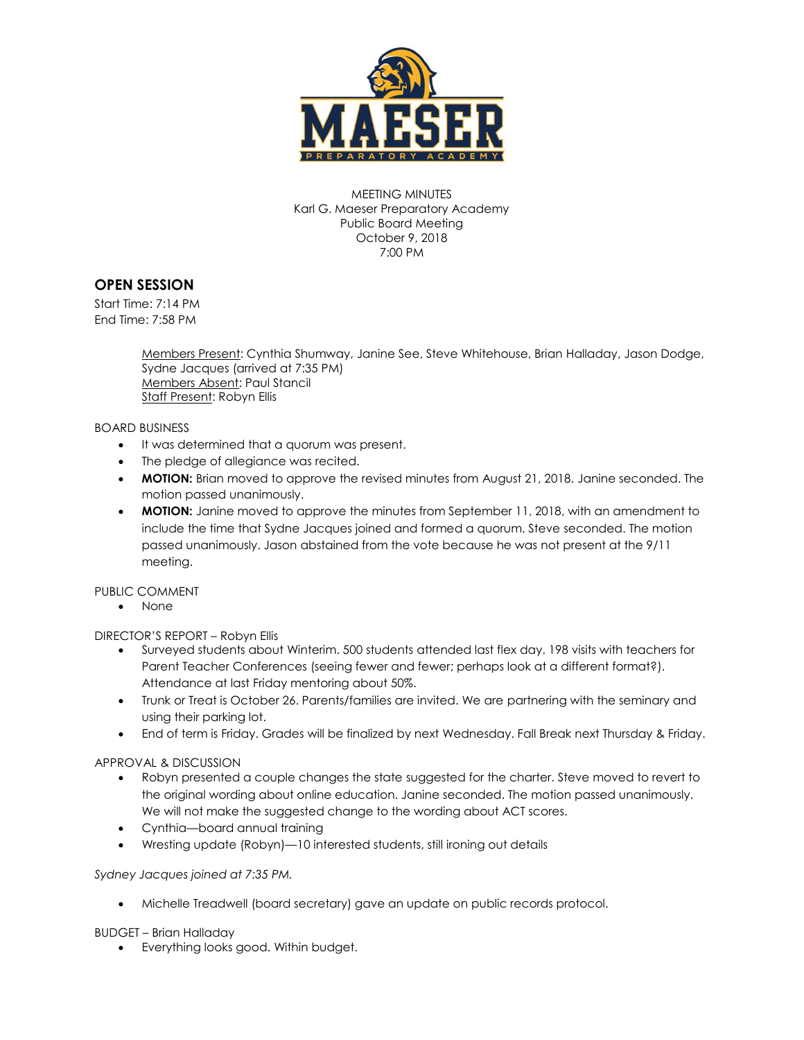

MEETING MINUTES Karl G. Maeser Preparatory Academy Public Board Meeting October 9, 2018 7:00 PM

# **OPEN SESSION**

Start Time: 7:14 PM End Time: 7:58 PM

> Members Present: Cynthia Shumway, Janine See, Steve Whitehouse, Brian Halladay, Jason Dodge, Sydne Jacques (arrived at 7:35 PM) Members Absent: Paul Stancil Staff Present: Robyn Ellis

#### BOARD BUSINESS

- It was determined that a quorum was present.
- The pledge of allegiance was recited.
- **MOTION:** Brian moved to approve the revised minutes from August 21, 2018. Janine seconded. The motion passed unanimously.
- **MOTION:** Janine moved to approve the minutes from September 11, 2018, with an amendment to include the time that Sydne Jacques joined and formed a quorum. Steve seconded. The motion passed unanimously. Jason abstained from the vote because he was not present at the 9/11 meeting.

### PUBLIC COMMENT

• None

DIRECTOR'S REPORT – Robyn Ellis

- Surveyed students about Winterim. 500 students attended last flex day. 198 visits with teachers for Parent Teacher Conferences (seeing fewer and fewer; perhaps look at a different format?). Attendance at last Friday mentoring about 50%.
- Trunk or Treat is October 26. Parents/families are invited. We are partnering with the seminary and using their parking lot.
- End of term is Friday. Grades will be finalized by next Wednesday. Fall Break next Thursday & Friday.

#### APPROVAL & DISCUSSION

- Robyn presented a couple changes the state suggested for the charter. Steve moved to revert to the original wording about online education. Janine seconded. The motion passed unanimously. We will not make the suggested change to the wording about ACT scores.
- Cynthia—board annual training
- Wresting update (Robyn)—10 interested students, still ironing out details

### *Sydney Jacques joined at 7:35 PM.*

Michelle Treadwell (board secretary) gave an update on public records protocol.

### BUDGET – Brian Halladay

Everything looks good. Within budget.